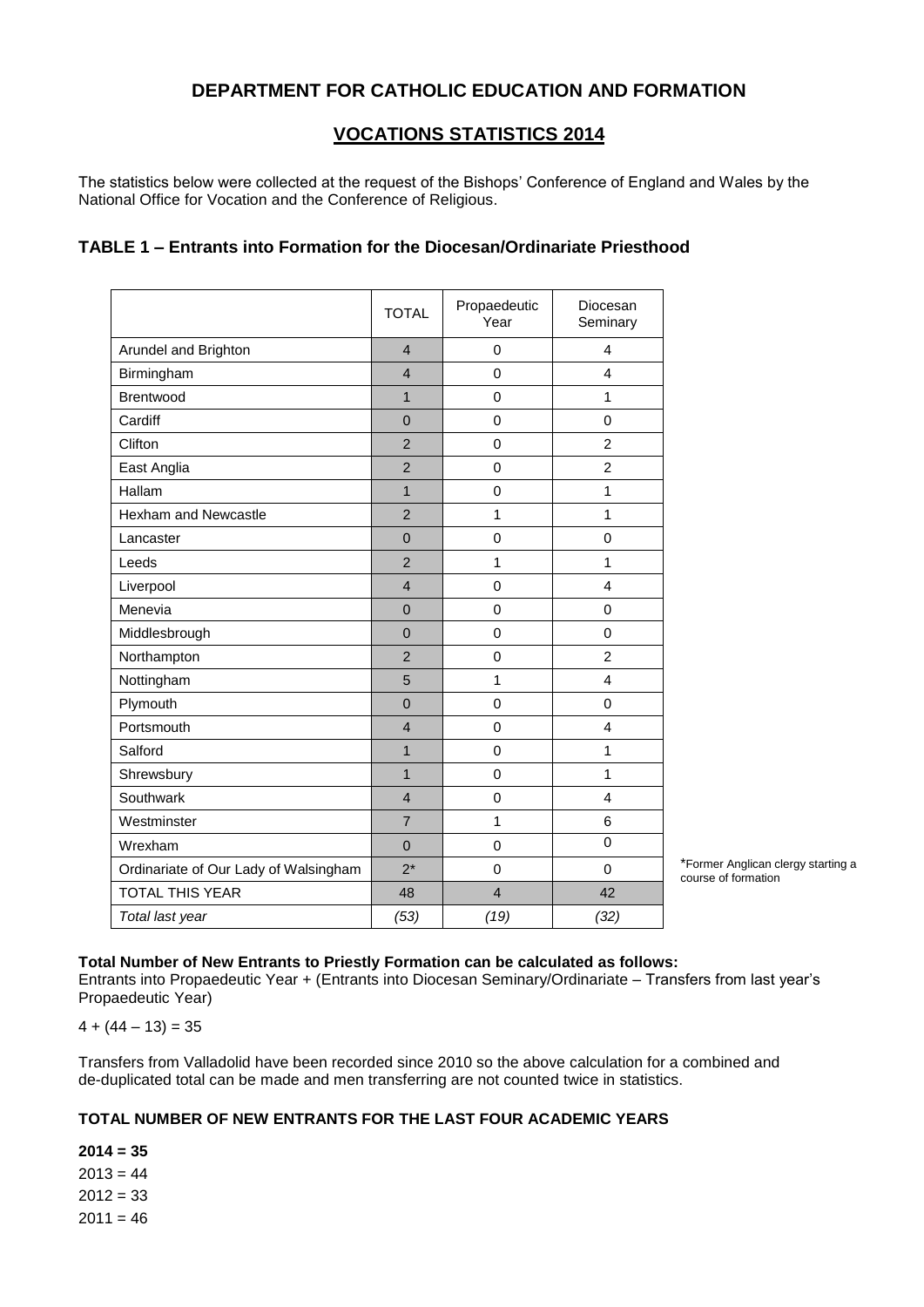# **DEPARTMENT FOR CATHOLIC EDUCATION AND FORMATION**

# **VOCATIONS STATISTICS 2014**

The statistics below were collected at the request of the Bishops' Conference of England and Wales by the National Office for Vocation and the Conference of Religious.

## **TABLE 1 – Entrants into Formation for the Diocesan/Ordinariate Priesthood**

|                                       | <b>TOTAL</b>   | Propaedeutic<br>Year | Diocesan<br>Seminary |
|---------------------------------------|----------------|----------------------|----------------------|
| Arundel and Brighton                  | $\overline{4}$ | $\mathbf 0$          | 4                    |
| Birmingham                            | $\overline{4}$ | $\mathbf 0$          | $\overline{4}$       |
| Brentwood                             | $\mathbf{1}$   | $\mathbf 0$          | 1                    |
| Cardiff                               | $\Omega$       | $\mathbf 0$          | $\Omega$             |
| Clifton                               | $\overline{2}$ | $\mathbf 0$          | $\overline{2}$       |
| East Anglia                           | $\overline{2}$ | $\mathbf{0}$         | $\overline{2}$       |
| Hallam                                | $\mathbf{1}$   | $\mathbf 0$          | 1                    |
| <b>Hexham and Newcastle</b>           | $\overline{2}$ | 1                    | 1                    |
| Lancaster                             | $\Omega$       | $\mathbf 0$          | $\Omega$             |
| Leeds                                 | $\overline{2}$ | 1                    | 1                    |
| Liverpool                             | $\overline{4}$ | $\mathbf 0$          | $\overline{4}$       |
| Menevia                               | $\overline{0}$ | $\mathbf 0$          | $\mathbf 0$          |
| Middlesbrough                         | $\Omega$       | $\mathbf 0$          | $\mathbf 0$          |
| Northampton                           | $\overline{2}$ | $\mathbf 0$          | $\overline{2}$       |
| Nottingham                            | 5              | 1                    | $\overline{4}$       |
| Plymouth                              | $\mathbf 0$    | $\mathbf 0$          | $\Omega$             |
| Portsmouth                            | $\overline{4}$ | $\mathbf 0$          | $\overline{4}$       |
| Salford                               | $\mathbf{1}$   | $\mathbf 0$          | 1                    |
| Shrewsbury                            | $\mathbf{1}$   | $\mathbf 0$          | 1                    |
| Southwark                             | $\overline{4}$ | 0                    | $\overline{4}$       |
| Westminster                           | $\overline{7}$ | 1                    | 6                    |
| Wrexham                               | $\mathbf 0$    | $\mathbf 0$          | $\Omega$             |
| Ordinariate of Our Lady of Walsingham | $2^*$          | $\mathbf 0$          | $\mathbf 0$          |
| <b>TOTAL THIS YEAR</b>                | 48             | $\overline{4}$       | 42                   |
| Total last year                       | (53)           | (19)                 | (32)                 |

\*Former Anglican clergy starting a course of formation

#### **Total Number of New Entrants to Priestly Formation can be calculated as follows:**

Entrants into Propaedeutic Year + (Entrants into Diocesan Seminary/Ordinariate – Transfers from last year's Propaedeutic Year)

 $4 + (44 - 13) = 35$ 

Transfers from Valladolid have been recorded since 2010 so the above calculation for a combined and de-duplicated total can be made and men transferring are not counted twice in statistics.

## **TOTAL NUMBER OF NEW ENTRANTS FOR THE LAST FOUR ACADEMIC YEARS**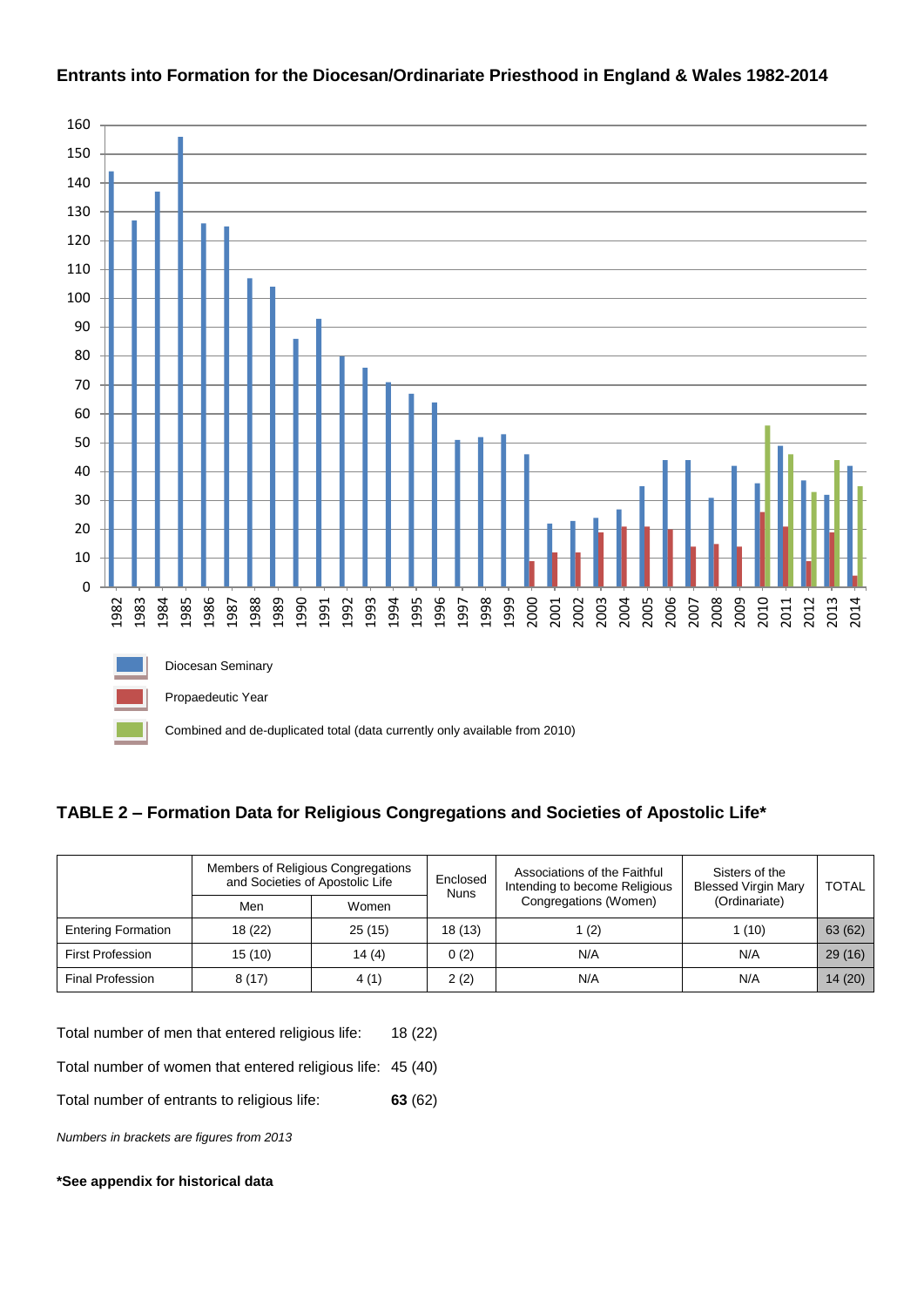

### **Entrants into Formation for the Diocesan/Ordinariate Priesthood in England & Wales 1982-2014**

## **TABLE 2 – Formation Data for Religious Congregations and Societies of Apostolic Life\***

|                           | Members of Religious Congregations<br>and Societies of Apostolic Life |        | Enclosed<br><b>Nuns</b> | Associations of the Faithful<br>Intending to become Religious | Sisters of the<br><b>Blessed Virgin Mary</b> | <b>TOTAL</b> |
|---------------------------|-----------------------------------------------------------------------|--------|-------------------------|---------------------------------------------------------------|----------------------------------------------|--------------|
|                           | Men                                                                   | Women  |                         | Congregations (Women)                                         | (Ordinariate)                                |              |
| <b>Entering Formation</b> | 18 (22)                                                               | 25(15) | 18 (13)                 | 1 $(2)$                                                       | 1 (10)                                       | 63 (62)      |
| <b>First Profession</b>   | 15(10)                                                                | 14(4)  | 0(2)                    | N/A                                                           | N/A                                          | 29(16)       |
| <b>Final Profession</b>   | 8(17)                                                                 | 4(1)   | 2(2)                    | N/A                                                           | N/A                                          | 14(20)       |

Total number of men that entered religious life: 18 (22)

Total number of women that entered religious life: 45 (40)

Total number of entrants to religious life: **63** (62)

*Numbers in brackets are figures from 2013*

#### **\*See appendix for historical data**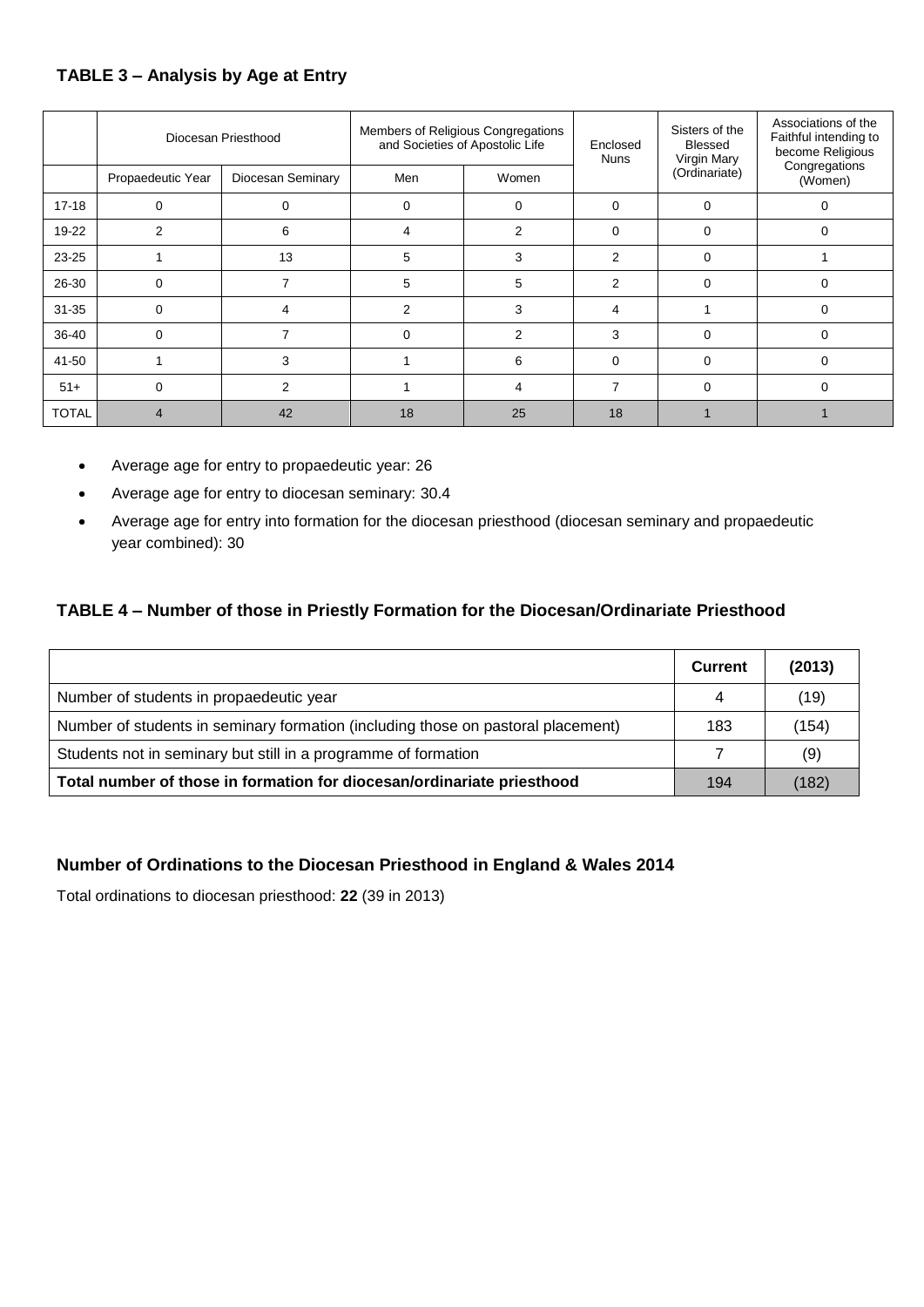# **TABLE 3 – Analysis by Age at Entry**

|              | Diocesan Priesthood |                   | Members of Religious Congregations<br>and Societies of Apostolic Life |          | Enclosed<br><b>Nuns</b> | Sisters of the<br>Blessed<br>Virgin Mary | Associations of the<br>Faithful intending to<br>become Religious<br>Congregations |
|--------------|---------------------|-------------------|-----------------------------------------------------------------------|----------|-------------------------|------------------------------------------|-----------------------------------------------------------------------------------|
|              | Propaedeutic Year   | Diocesan Seminary | Men                                                                   | Women    |                         | (Ordinariate)                            | (Women)                                                                           |
| $17 - 18$    |                     |                   |                                                                       | $\Omega$ | 0                       | $\Omega$                                 | 0                                                                                 |
| 19-22        | 2                   | 6                 | 4                                                                     | 2        | $\Omega$                | $\Omega$                                 | $\Omega$                                                                          |
| 23-25        |                     | 13                | 5                                                                     | 3        | $\mathcal{P}$           | $\Omega$                                 |                                                                                   |
| 26-30        | $\Omega$            |                   | 5                                                                     | 5        | 2                       | $\Omega$                                 | $\Omega$                                                                          |
| $31 - 35$    | $\Omega$            |                   | 2                                                                     | 3        | 4                       |                                          | $\Omega$                                                                          |
| 36-40        | $\Omega$            |                   | $\Omega$                                                              | 2        | 3                       | $\Omega$                                 | $\Omega$                                                                          |
| 41-50        |                     | 3                 |                                                                       | 6        | $\Omega$                | $\Omega$                                 | $\Omega$                                                                          |
| $51+$        | 0                   | 2                 |                                                                       | 4        | 7                       | $\Omega$                                 | $\Omega$                                                                          |
| <b>TOTAL</b> |                     | 42                | 18                                                                    | 25       | 18                      |                                          |                                                                                   |

- Average age for entry to propaedeutic year: 26
- Average age for entry to diocesan seminary: 30.4
- Average age for entry into formation for the diocesan priesthood (diocesan seminary and propaedeutic year combined): 30

## **TABLE 4 – Number of those in Priestly Formation for the Diocesan/Ordinariate Priesthood**

|                                                                                  | Current | (2013) |
|----------------------------------------------------------------------------------|---------|--------|
| Number of students in propaedeutic year                                          |         | (19)   |
| Number of students in seminary formation (including those on pastoral placement) | 183     | (154)  |
| Students not in seminary but still in a programme of formation                   |         | (9)    |
| Total number of those in formation for diocesan/ordinariate priesthood           | 194     | (182)  |

## **Number of Ordinations to the Diocesan Priesthood in England & Wales 2014**

Total ordinations to diocesan priesthood: **22** (39 in 2013)